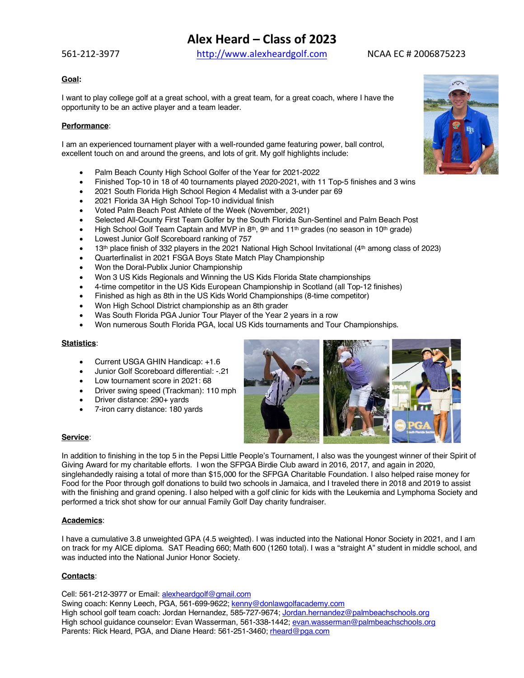## **Alex Heard – Class of 2023**

561-212-3977 http://www.alexheardgolf.com NCAA EC # 2006875223

### **Goal:**

I want to play college golf at a great school, with a great team, for a great coach, where I have the opportunity to be an active player and a team leader.

### **Performance**:

I am an experienced tournament player with a well-rounded game featuring power, ball control, excellent touch on and around the greens, and lots of grit. My golf highlights include:

- Palm Beach County High School Golfer of the Year for 2021-2022
- Finished Top-10 in 18 of 40 tournaments played 2020-2021, with 11 Top-5 finishes and 3 wins
- 2021 South Florida High School Region 4 Medalist with a 3-under par 69
- 2021 Florida 3A High School Top-10 individual finish
- Voted Palm Beach Post Athlete of the Week (November, 2021)
- Selected All-County First Team Golfer by the South Florida Sun-Sentinel and Palm Beach Post
- High School Golf Team Captain and MVP in 8<sup>th</sup>, 9<sup>th</sup> and 11<sup>th</sup> grades (no season in 10<sup>th</sup> grade)
- Lowest Junior Golf Scoreboard ranking of 757
- $\bullet$  13<sup>th</sup> place finish of 332 players in the 2021 National High School Invitational (4<sup>th</sup> among class of 2023)
- Quarterfinalist in 2021 FSGA Boys State Match Play Championship
- Won the Doral-Publix Junior Championship
- Won 3 US Kids Regionals and Winning the US Kids Florida State championships
- 4-time competitor in the US Kids European Championship in Scotland (all Top-12 finishes)
- Finished as high as 8th in the US Kids World Championships (8-time competitor)
- Won High School District championship as an 8th grader
- Was South Florida PGA Junior Tour Player of the Year 2 years in a row
- Won numerous South Florida PGA, local US Kids tournaments and Tour Championships.

#### **Statistics**:

- Current USGA GHIN Handicap: +1.6
- Junior Golf Scoreboard differential: -.21
- Low tournament score in 2021: 68
- Driver swing speed (Trackman): 110 mph
- Driver distance: 290+ yards
- 7-iron carry distance: 180 yards



### **Service**:

In addition to finishing in the top 5 in the Pepsi Little People's Tournament, I also was the youngest winner of their Spirit of Giving Award for my charitable efforts. I won the SFPGA Birdie Club award in 2016, 2017, and again in 2020, singlehandedly raising a total of more than \$15,000 for the SFPGA Charitable Foundation. I also helped raise money for Food for the Poor through golf donations to build two schools in Jamaica, and I traveled there in 2018 and 2019 to assist with the finishing and grand opening. I also helped with a golf clinic for kids with the Leukemia and Lymphoma Society and performed a trick shot show for our annual Family Golf Day charity fundraiser.

### **Academics**:

I have a cumulative 3.8 unweighted GPA (4.5 weighted). I was inducted into the National Honor Society in 2021, and I am on track for my AICE diploma. SAT Reading 660; Math 600 (1260 total). I was a "straight A" student in middle school, and was inducted into the National Junior Honor Society.

#### **Contacts**:

Cell: 561-212-3977 or Email: alexheardgolf@gmail.com

Swing coach: Kenny Leech, PGA, 561-699-9622; kenny@donlawgolfacademy.com High school golf team coach: Jordan Hernandez, 585-727-9674; Jordan.hernandez@palmbeachschools.org High school guidance counselor: Evan Wasserman, 561-338-1442; evan.wasserman@palmbeachschools.org Parents: Rick Heard, PGA, and Diane Heard: 561-251-3460; rheard@pga.com

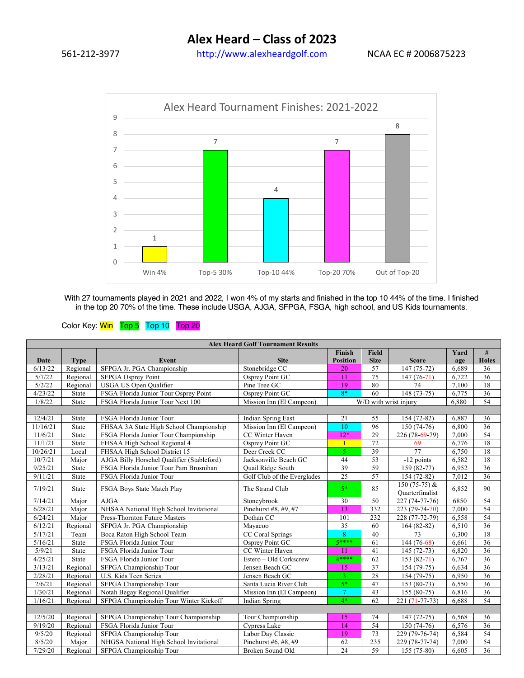561-212-3977 http://www.alexheardgolf.com NCAA EC # 2006875223



With 27 tournaments played in 2021 and 2022, I won 4% of my starts and finished in the top 10 44% of the time. I finished in the top 20 70% of the time. These include USGA, AJGA, SFPGA, FSGA, high school, and US Kids tournaments.

## Color Key: Win Top 5 Top 10 Top 20

| <b>Alex Heard Golf Tournament Results</b> |              |                                            |                             |                       |                 |                 |       |                 |  |
|-------------------------------------------|--------------|--------------------------------------------|-----------------------------|-----------------------|-----------------|-----------------|-------|-----------------|--|
|                                           |              |                                            |                             | <b>Finish</b>         | <b>Field</b>    |                 | Yard  | #               |  |
| Date                                      | <b>Type</b>  | Event                                      | <b>Site</b>                 | <b>Position</b>       | <b>Size</b>     | <b>Score</b>    | age   | <b>Holes</b>    |  |
| 6/13/22                                   | Regional     | SFPGA Jr. PGA Championship                 | Stonebridge CC              | 20                    | 57              | $147(75-72)$    | 6,689 | 36              |  |
| 5/7/22                                    | Regional     | <b>SFPGA Osprey Point</b>                  | Osprey Point GC             | 11                    | 75              | $147(76-71)$    | 6,722 | 36              |  |
| 5/2/22                                    | Regional     | <b>USGA US Open Qualifier</b>              | Pine Tree GC                | 19                    | 80              | $\overline{74}$ | 7,100 | 18              |  |
| 4/23/22                                   | <b>State</b> | FSGA Florida Junior Tour Osprey Point      | Osprey Point GC             | $8*$                  | 60              | 148 (73-75)     | 6,775 | $\overline{36}$ |  |
| 1/8/22                                    | State        | FSGA Florida Junior Tour Next 100          | Mission Inn (El Campeon)    | W/D with wrist injury |                 |                 | 6,880 | 54              |  |
|                                           |              |                                            |                             |                       |                 |                 |       |                 |  |
| 12/4/21                                   | State        | FSGA Florida Junior Tour                   | Indian Spring East          | 21                    | 55              | 154 (72-82)     | 6,887 | 36              |  |
| 11/16/21                                  | State        | FHSAA 3A State High School Championship    | Mission Inn (El Campeon)    | 10                    | 96              | 150 (74-76)     | 6,800 | $\overline{36}$ |  |
| 11/6/21                                   | <b>State</b> | FSGA Florida Junior Tour Championship      | CC Winter Haven             | $12*$                 | 29              | 226 (78-69-79)  | 7.000 | $\overline{54}$ |  |
| 11/1/21                                   | <b>State</b> | FHSAA High School Regional 4               | Osprey Point GC             |                       | $\overline{72}$ | 69              | 6,776 | 18              |  |
| 10/26/21                                  | Local        | FHSAA High School District 15              | Deer Creek CC               | 5                     | 39              | 77              | 6,750 | 18              |  |
| 10/7/21                                   | Major        | AJGA Billy Horschel Qualifier (Stableford) | Jacksonville Beach GC       | 44                    | 53              | -12 points      | 6,582 | 18              |  |
| 9/25/21                                   | <b>State</b> | FSGA Florida Junior Tour Pam Brosnihan     | <b>Quail Ridge South</b>    | $\overline{39}$       | 59              | 159 (82-77)     | 6,952 | 36              |  |
| 9/11/21                                   | State        | FSGA Florida Junior Tour                   | Golf Club of the Everglades | $\overline{25}$       | 57              | 154 (72-82)     | 7,012 | 36              |  |
| 7/19/21                                   | <b>State</b> | FSGA Boys State Match Play                 | The Strand Club             | $5*$                  | 85              | 150 $(75-75)$ & | 6,852 | 90              |  |
|                                           |              |                                            |                             |                       |                 | Quarterfinalist |       |                 |  |
| 7/14/21                                   | Major        | <b>AJGA</b>                                | Stoneybrook                 | 30                    | 50              | 227 (74-77-76)  | 6850  | 54              |  |
| 6/28/21                                   | Major        | NHSAA National High School Invitational    | Pinehurst #8, #9, #7        | 13                    | 332             | 223 (79-74-70)  | 7,000 | 54              |  |
| 6/24/21                                   | Major        | Press-Thornton Future Masters              | Dothan CC                   | 101                   | 232             | 228 (77-72-79)  | 6,558 | 54              |  |
| 6/12/21                                   | Regional     | SFPGA Jr. PGA Championship                 | Mayacoo                     | $\overline{35}$       | 60              | $164(82-82)$    | 6,510 | $\overline{36}$ |  |
| 5/17/21                                   | Team         | Boca Raton High School Team                | CC Coral Springs            | 8                     | 40              | 73              | 6,300 | 18              |  |
| 5/16/21                                   | State        | FSGA Florida Junior Tour                   | Osprey Point GC             | 5****                 | 61              | 144 (76-68)     | 6,661 | 36              |  |
| 5/9/21                                    | <b>State</b> | FSGA Florida Junior Tour                   | CC Winter Haven             | 11                    | 41              | 145 (72-73)     | 6,820 | 36              |  |
| 4/25/21                                   | State        | FSGA Florida Junior Tour                   | Estero - Old Corkscrew      | 4 ****                | 62              | $153(82-71)$    | 6,767 | 36              |  |
| 3/13/21                                   | Regional     | SFPGA Championship Tour                    | Jensen Beach GC             | 15                    | 37              | 154 (79-75)     | 6,634 | 36              |  |
| 2/28/21                                   | Regional     | U.S. Kids Teen Series                      | Jensen Beach GC             | $\overline{3}$        | 28              | 154 (79-75)     | 6,950 | 36              |  |
| 2/6/21                                    | Regional     | SFPGA Championship Tour                    | Santa Lucia River Club      | $5*$                  | 47              | $153(80-73)$    | 6,550 | 36              |  |
| 1/30/21                                   | Regional     | Notah Begay Regional Qualifier             | Mission Inn (El Campeon)    | $\mathcal{T}$         | 43              | $155(80-75)$    | 6,816 | 36              |  |
| 1/16/21                                   | Regional     | SFPGA Championship Tour Winter Kickoff     | Indian Spring               | 4*                    | 62              | 221 (71-77-73)  | 6,688 | 54              |  |
|                                           |              |                                            |                             |                       |                 |                 |       |                 |  |
| 12/5/20                                   | Regional     | SFPGA Championship Tour Championship       | Tour Championship           | 15                    | 74              | 147 (72-75)     | 6,568 | 36              |  |
| 9/19/20                                   | Regional     | FSGA Florida Junior Tour                   | Cypress Lake                | 14                    | 54              | 150 (74-76)     | 6,576 | $\overline{36}$ |  |
| 9/5/20                                    | Regional     | SFPGA Championship Tour                    | Labor Day Classic           | 19                    | 73              | 229 (79-76-74)  | 6,584 | 54              |  |
| 8/5/20                                    | Major        | NHGSA National High School Invitational    | Pinehurst #6, #8, #9        | 62                    | 235             | 229 (78-77-74)  | 7,000 | 54              |  |
| 7/29/20                                   | Regional     | SFPGA Championship Tour                    | <b>Broken Sound Old</b>     | 24                    | 59              | 155 (75-80)     | 6,605 | $\overline{36}$ |  |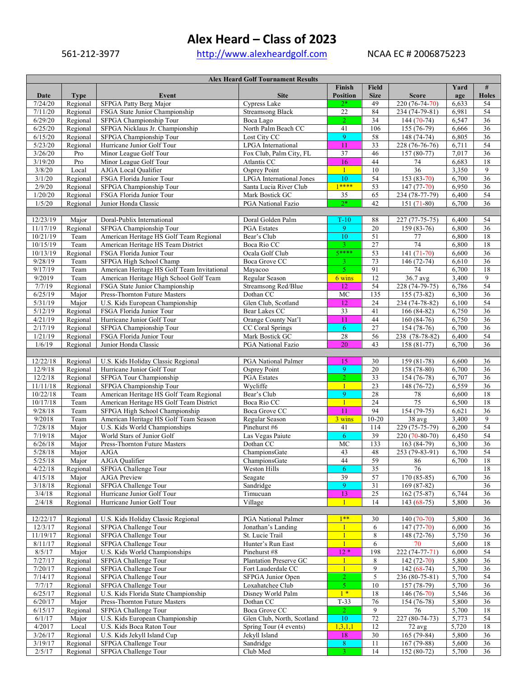## **Alex Heard – Class of 2023**

561-212-3977 http://www.alexheardgolf.com NCAA EC # 2006875223

| <b>Alex Heard Golf Tournament Results</b> |             |                                             |                            |                 |                 |                          |       |                 |  |
|-------------------------------------------|-------------|---------------------------------------------|----------------------------|-----------------|-----------------|--------------------------|-------|-----------------|--|
|                                           |             |                                             |                            | Finish          | <b>Field</b>    |                          | Yard  | #               |  |
| Date                                      | <b>Type</b> | Event                                       | <b>Site</b>                | <b>Position</b> | <b>Size</b>     | <b>Score</b>             | age   | <b>Holes</b>    |  |
| 7/24/20                                   | Regional    | <b>SFPGA Patty Berg Major</b>               | Cypress Lake               | $2*$            | 49              | 220 (76-74-70)           | 6,633 | 54              |  |
| 7/11/20                                   | Regional    | FSGA State Junior Championship              | <b>Streamsong Black</b>    | $22\,$          | 84              | 234 (74-79-81)           | 6,981 | 54              |  |
| 6/29/20                                   | Regional    | SFPGA Championship Tour                     | Boca Lago                  | $\overline{2}$  | $\overline{34}$ | $144(70-74)$             | 6,547 | 36              |  |
| 6/25/20                                   | Regional    | SFPGA Nicklaus Jr. Championship             | North Palm Beach CC        | 41              | 106             | $155(76-79)$             | 6,666 | $\overline{36}$ |  |
| 6/15/20                                   | Regional    | SFPGA Championship Tour                     | Lost City CC               | 9               | 58              | 148 (74-74)              | 6,805 | $\overline{36}$ |  |
| 5/23/20                                   | Regional    | Hurricane Junior Golf Tour                  | LPGA International         | 11              | 33              | 228 (76-76-76)           | 6,711 | 54              |  |
| 3/26/20                                   | Pro         | Minor League Golf Tour                      | Fox Club, Palm City, FL    | 37              | 46              | 157 (80-77)              | 7,017 | 36              |  |
| 3/19/20                                   |             |                                             | Atlantis CC                | 16              | 44              |                          |       | 18              |  |
|                                           | Pro         | Minor League Golf Tour                      |                            |                 |                 | 74                       | 6,683 |                 |  |
| 3/8/20                                    | Local       | AJGA Local Qualifier                        | Osprey Point               | $\mathbf{1}$    | 10              | 36                       | 3,350 | $\mathbf{9}$    |  |
| 3/1/20                                    | Regional    | FSGA Florida Junior Tour                    | LPGA International Jones   | 10              | 54              | $153(83-70)$             | 6,700 | 36              |  |
| 2/9/20                                    | Regional    | SFPGA Championship Tour                     | Santa Lucia River Club     | $1****$         | 53              | $147(77-70)$             | 6,950 | $\overline{36}$ |  |
| 1/20/20                                   | Regional    | FSGA Florida Junior Tour                    | Mark Bostick GC            | 35              | 65              | 234 (78-77-79)           | 6,400 | 54              |  |
| 1/5/20                                    | Regional    | Junior Honda Classic                        | PGA National Fazio         | $2*$            | 42              | $\overline{151}$ (71-80) | 6,700 | 36              |  |
|                                           |             |                                             |                            |                 |                 |                          |       |                 |  |
| 12/23/19                                  | Major       | Doral-Publix International                  | Doral Golden Palm          | $T-10$          | 88              | 227 (77-75-75)           | 6,400 | 54              |  |
| 11/17/19                                  | Regional    | SFPGA Championship Tour                     | <b>PGA</b> Estates         | 9               | 20              | $159(83-76)$             | 6,800 | 36              |  |
| 10/21/19                                  | Team        | American Heritage HS Golf Team Regional     | Bear's Club                | 10              | 51              | 77                       | 6,800 | 18              |  |
| 10/15/19                                  | Team        | American Heritage HS Team District          | Boca Rio CC                | $\mathbf{R}$    | 27              | 74                       | 6,800 | 18              |  |
| 10/13/19                                  | Regional    | FSGA Florida Junior Tour                    | Ocala Golf Club            | 5****           | 53              | $141(71-70)$             | 6,600 | $\overline{36}$ |  |
| 9/28/19                                   | Team        | SFPGA High School Champ                     | Boca Grove CC              | 3               | 73              | 146 (72-74)              | 6,610 | $\overline{36}$ |  |
| 9/17/19                                   | Team        | American Heritage HS Golf Team Invitational | Mayacoo                    | 5               | 91              | 74                       | 6,700 | 18              |  |
|                                           |             |                                             |                            |                 |                 |                          |       |                 |  |
| 9/2019                                    | Team        | American Heritage High School Golf Team     | Regular Season             | 6 wins          | 12              | 36.7 avg                 | 3,400 | 9               |  |
| 7/7/19                                    | Regional    | FSGA State Junior Championship              | Streamsong Red/Blue        | 12              | 54              | 228 (74-79-75)           | 6,786 | 54              |  |
| 6/25/19                                   | Major       | Press-Thornton Future Masters               | Dothan CC                  | $\rm MC$        | 135             | $155(73-82)$             | 6,300 | 36              |  |
| 5/31/19                                   | Major       | U.S. Kids European Championship             | Glen Club, Scotland        | 12              | 24              | 234 (74-78-82)           | 6,100 | 54              |  |
| 5/12/19                                   | Regional    | FSGA Florida Junior Tour                    | Bear Lakes CC              | $\overline{33}$ | 41              | $166(84-82)$             | 6,750 | $\overline{36}$ |  |
| 4/21/19                                   | Regional    | Hurricane Junior Golf Tour                  | Orange County Nat'l        | 11              | $44$            | 160 (84-76)              | 6,750 | 36              |  |
| 2/17/19                                   | Regional    | SFPGA Championship Tour                     | <b>CC Coral Springs</b>    | 6               | $\overline{27}$ | $154(78-76)$             | 6,700 | 36              |  |
| 1/21/19                                   | Regional    | FSGA Florida Junior Tour                    | Mark Bostick GC            | $28\,$          | 56              | 238 (78-78-82)           | 6,400 | 54              |  |
| 1/6/19                                    | Regional    | Junior Honda Classic                        | PGA National Fazio         | 20              | 43              | 158 (81-77)              | 6,700 | 36              |  |
|                                           |             |                                             |                            |                 |                 |                          |       |                 |  |
| 12/22/18                                  | Regional    | U.S. Kids Holiday Classic Regional          | PGA National Palmer        | 15              | 30              | 159 (81-78)              | 6,600 | 36              |  |
| 12/9/18                                   | Regional    | Hurricane Junior Golf Tour                  | Osprey Point               | 9               | $20\,$          | 158 (78-80)              | 6,700 | $\overline{36}$ |  |
| 12/2/18                                   |             | SFPGA Tour Championship                     |                            | $\overline{2}$  | 33              |                          | 6,707 | 36              |  |
|                                           | Regional    |                                             | PGA Estates                |                 |                 | 154 (76-78)              |       |                 |  |
| 11/11/18                                  | Regional    | SFPGA Championship Tour                     | Wycliffe                   | $\mathbf{1}$    | 23              | 148 (76-72)              | 6,559 | $\overline{36}$ |  |
| 10/22/18                                  | Team        | American Heritage HS Golf Team Regional     | Bear's Club                | 9               | 28              | 78                       | 6,600 | 18              |  |
| 10/17/18                                  | Team        | American Heritage HS Golf Team District     | Boca Rio CC                | $\mathbf{1}$    | 24              | 75                       | 6,500 | 18              |  |
| 9/28/18                                   | Team        | SFPGA High School Championship              | Boca Grove CC              | 11              | 94              | $154(79-75)$             | 6,621 | 36              |  |
| 9/2018                                    | Team        | American Heritage HS Golf Team Season       | Regular Season             | 3 wins          | $10 - 20$       | 38 avg                   | 3,400 | 9               |  |
| 7/28/18                                   | Major       | U.S. Kids World Championships               | Pinehurst #6               | 41              | 114             | 229 (75-75-79)           | 6,200 | 54              |  |
| 7/19/18                                   | Major       | World Stars of Junior Golf                  | Las Vegas Paiute           | 6               | 39              | 220 (70-80-70)           | 6,450 | 54              |  |
| 6/26/18                                   | Major       | Press-Thornton Future Masters               | Dothan CC                  | MC              | 133             | 163 (84-79)              | 6,300 | $\overline{36}$ |  |
| 5/28/18                                   | Major       | <b>AJGA</b>                                 | ChampionsGate              | 43              | 48              | 253 (79-83-91)           | 6,700 | 54              |  |
| 5/25/18                                   | Major       | AJGA Qualifier                              | ChampionsGate              | 44              | 59              | 86                       | 6,700 | $18\,$          |  |
| 4/22/18                                   | Regional    | SFPGA Challenge Tour                        | Weston Hills               | 6               | 35              | 76                       |       | 18              |  |
| 4/15/18                                   | Major       | AJGA Preview                                | Seagate                    | 39              | 57              | 170 (85-85)              | 6,700 | 36              |  |
| 3/18/18                                   | Regional    | SFPGA Challenge Tour                        | Sandridge                  | $\overline{9}$  | $\overline{31}$ | $169(87-82)$             |       | 36              |  |
| 3/4/18                                    |             |                                             |                            |                 |                 |                          |       |                 |  |
|                                           | Regional    | Hurricane Junior Golf Tour                  | Timucuan                   | 13              | $25\,$          | $162(75-87)$             | 6,744 | 36              |  |
| 2/4/18                                    | Regional    | Hurricane Junior Golf Tour                  | Village                    |                 | 14              | $143(68-75)$             | 5,800 | 36              |  |
|                                           |             |                                             |                            |                 |                 |                          |       |                 |  |
| 12/22/17                                  | Regional    | U.S. Kids Holiday Classic Regional          | PGA National Palmer        | $1***$          | 30              | $140(70-70)$             | 5,800 | 36              |  |
| 12/3/17                                   | Regional    | SFPGA Challenge Tour                        | Jonathan's Landing         |                 | 6               | $147(77-70)$             | 6,000 | 36              |  |
| 11/19/17                                  | Regional    | SFPGA Challenge Tour                        | St. Lucie Trail            | $\mathbf{1}$    | 8               | 148 (72-76)              | 5,750 | 36              |  |
| 8/11/17                                   | Regional    | SFPGA Challenge Tour                        | Hunter's Run East          | $\mathbf{1}$    | 6               | 70                       | 5,600 | 18              |  |
| 8/5/17                                    | Major       | U.S. Kids World Championships               | Pinehurst #8               | $12 *$          | 198             | 222 (74-77-71)           | 6,000 | 54              |  |
| 7/27/17                                   | Regional    | SFPGA Challenge Tour                        | Plantation Preserve GC     |                 | 8               | $142(72-70)$             | 5,800 | 36              |  |
| 7/20/17                                   | Regional    | SFPGA Challenge Tour                        | Fort Lauderdale CC         |                 | 9               | $142(68-74)$             | 5,700 | 36              |  |
| 7/14/17                                   | Regional    | SFPGA Challenge Tour                        | SFPGA Junior Open          | $\overline{2}$  | 5               | 236 (80-75-81)           | 5,700 | 54              |  |
| 7/7/17                                    | Regional    | SFPGA Challenge Tour                        | Loxahatchee Club           | 5 <sup>1</sup>  | 10              | 157 (78-79)              | 5,700 | 36              |  |
| 6/25/17                                   | Regional    | U.S. Kids Florida State Championship        | Disney World Palm          | $1*$            | 18              | $146(76-70)$             | 5,546 | 36              |  |
| 6/20/17                                   | Major       | Press-Thornton Future Masters               | Dothan CC                  | $T-33$          | 76              | $154(76-78)$             | 5,800 | 36              |  |
|                                           |             |                                             |                            |                 |                 |                          |       |                 |  |
| 6/15/17                                   | Regional    | SFPGA Challenge Tour                        | Boca Grove CC              | $2^{\circ}$     | 9               | 76                       | 5,700 | 18              |  |
| 6/1/17                                    | Major       | U.S. Kids European Championship             | Glen Club, North, Scotland | 10              | $72\,$          | 227 (80-74-73)           | 5,773 | 54              |  |
| 4/2017                                    | Local       | U.S. Kids Boca Raton Tour                   | Spring Tour (4 events)     | 1,3,1,1         | 12              | $\overline{72}$ avg      | 5,720 | 18              |  |
| 3/26/17                                   | Regional    | U.S. Kids Jekyll Island Cup                 | Jekyll Island              | 18              | 30              | 165 (79-84)              | 5,800 | 36              |  |
| 3/19/17                                   | Regional    | SFPGA Challenge Tour                        | Sandridge                  | 8               | 11              | $167(79-88)$             | 5,600 | 36              |  |
| 2/5/17                                    | Regional    | SFPGA Challenge Tour                        | Club Med                   | 3.              | 14              | 152 (80-72)              | 5,700 | 36              |  |